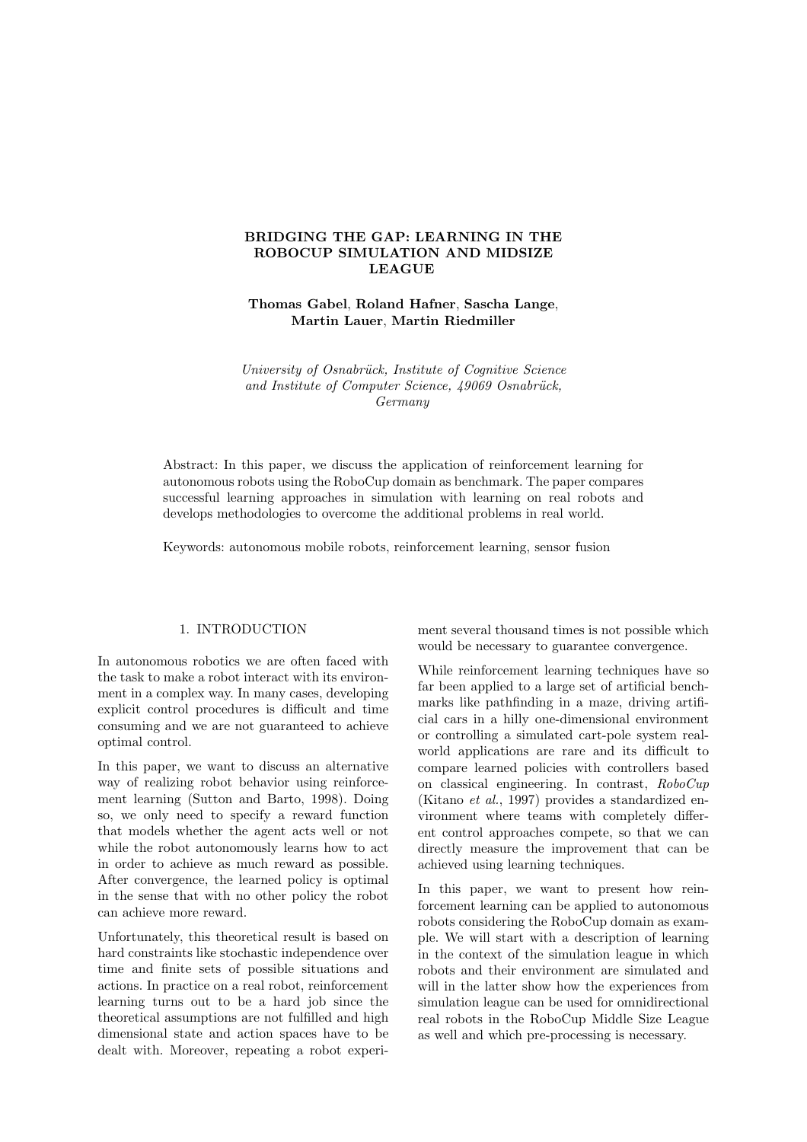## BRIDGING THE GAP: LEARNING IN THE ROBOCUP SIMULATION AND MIDSIZE LEAGUE

Thomas Gabel, Roland Hafner, Sascha Lange, Martin Lauer, Martin Riedmiller

University of Osnabrück, Institute of Cognitive Science and Institute of Computer Science, 49069 Osnabrück, Germany

Abstract: In this paper, we discuss the application of reinforcement learning for autonomous robots using the RoboCup domain as benchmark. The paper compares successful learning approaches in simulation with learning on real robots and develops methodologies to overcome the additional problems in real world.

Keywords: autonomous mobile robots, reinforcement learning, sensor fusion

# 1. INTRODUCTION

In autonomous robotics we are often faced with the task to make a robot interact with its environment in a complex way. In many cases, developing explicit control procedures is difficult and time consuming and we are not guaranteed to achieve optimal control.

In this paper, we want to discuss an alternative way of realizing robot behavior using reinforcement learning (Sutton and Barto, 1998). Doing so, we only need to specify a reward function that models whether the agent acts well or not while the robot autonomously learns how to act in order to achieve as much reward as possible. After convergence, the learned policy is optimal in the sense that with no other policy the robot can achieve more reward.

Unfortunately, this theoretical result is based on hard constraints like stochastic independence over time and finite sets of possible situations and actions. In practice on a real robot, reinforcement learning turns out to be a hard job since the theoretical assumptions are not fulfilled and high dimensional state and action spaces have to be dealt with. Moreover, repeating a robot experiment several thousand times is not possible which would be necessary to guarantee convergence.

While reinforcement learning techniques have so far been applied to a large set of artificial benchmarks like pathfinding in a maze, driving artificial cars in a hilly one-dimensional environment or controlling a simulated cart-pole system realworld applications are rare and its difficult to compare learned policies with controllers based on classical engineering. In contrast, RoboCup (Kitano et al., 1997) provides a standardized environment where teams with completely different control approaches compete, so that we can directly measure the improvement that can be achieved using learning techniques.

In this paper, we want to present how reinforcement learning can be applied to autonomous robots considering the RoboCup domain as example. We will start with a description of learning in the context of the simulation league in which robots and their environment are simulated and will in the latter show how the experiences from simulation league can be used for omnidirectional real robots in the RoboCup Middle Size League as well and which pre-processing is necessary.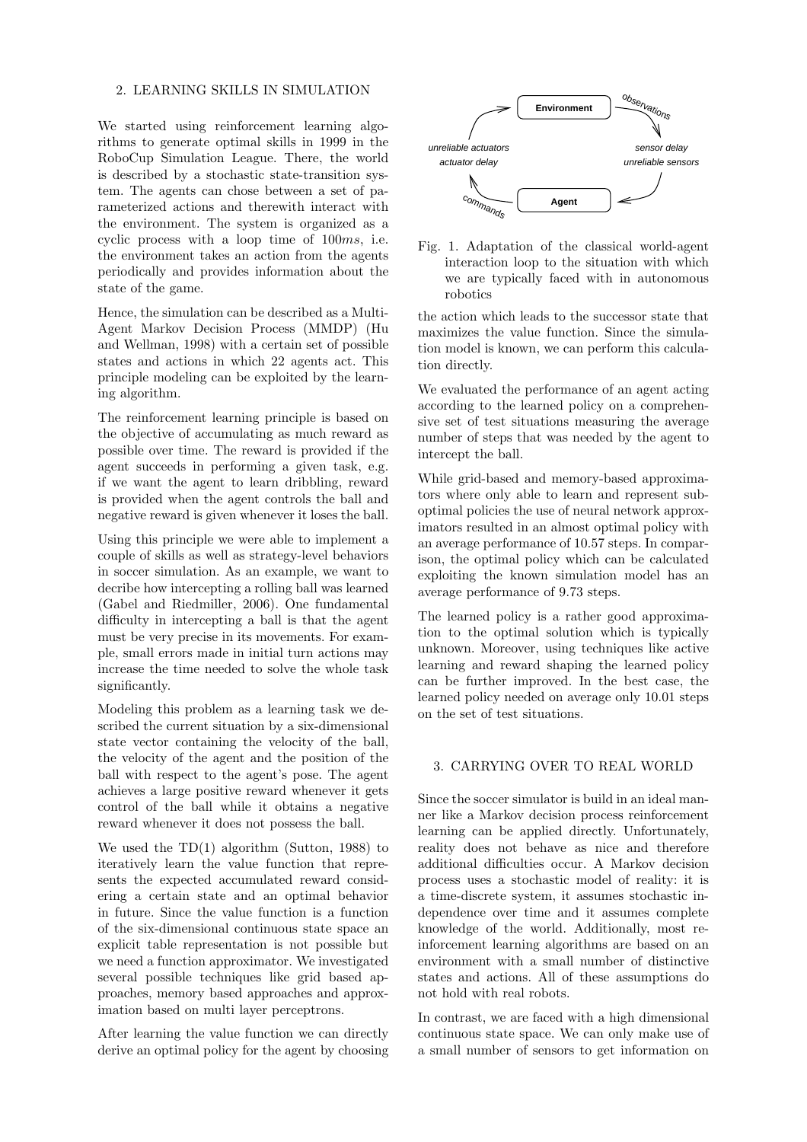### 2. LEARNING SKILLS IN SIMULATION

We started using reinforcement learning algorithms to generate optimal skills in 1999 in the RoboCup Simulation League. There, the world is described by a stochastic state-transition system. The agents can chose between a set of parameterized actions and therewith interact with the environment. The system is organized as a cyclic process with a loop time of 100ms, i.e. the environment takes an action from the agents periodically and provides information about the state of the game.

Hence, the simulation can be described as a Multi-Agent Markov Decision Process (MMDP) (Hu and Wellman, 1998) with a certain set of possible states and actions in which 22 agents act. This principle modeling can be exploited by the learning algorithm.

The reinforcement learning principle is based on the objective of accumulating as much reward as possible over time. The reward is provided if the agent succeeds in performing a given task, e.g. if we want the agent to learn dribbling, reward is provided when the agent controls the ball and negative reward is given whenever it loses the ball.

Using this principle we were able to implement a couple of skills as well as strategy-level behaviors in soccer simulation. As an example, we want to decribe how intercepting a rolling ball was learned (Gabel and Riedmiller, 2006). One fundamental difficulty in intercepting a ball is that the agent must be very precise in its movements. For example, small errors made in initial turn actions may increase the time needed to solve the whole task significantly.

Modeling this problem as a learning task we described the current situation by a six-dimensional state vector containing the velocity of the ball, the velocity of the agent and the position of the ball with respect to the agent's pose. The agent achieves a large positive reward whenever it gets control of the ball while it obtains a negative reward whenever it does not possess the ball.

We used the TD(1) algorithm (Sutton, 1988) to iteratively learn the value function that represents the expected accumulated reward considering a certain state and an optimal behavior in future. Since the value function is a function of the six-dimensional continuous state space an explicit table representation is not possible but we need a function approximator. We investigated several possible techniques like grid based approaches, memory based approaches and approximation based on multi layer perceptrons.

After learning the value function we can directly derive an optimal policy for the agent by choosing



Fig. 1. Adaptation of the classical world-agent interaction loop to the situation with which we are typically faced with in autonomous robotics

the action which leads to the successor state that maximizes the value function. Since the simulation model is known, we can perform this calculation directly.

We evaluated the performance of an agent acting according to the learned policy on a comprehensive set of test situations measuring the average number of steps that was needed by the agent to intercept the ball.

While grid-based and memory-based approximators where only able to learn and represent suboptimal policies the use of neural network approximators resulted in an almost optimal policy with an average performance of 10.57 steps. In comparison, the optimal policy which can be calculated exploiting the known simulation model has an average performance of 9.73 steps.

The learned policy is a rather good approximation to the optimal solution which is typically unknown. Moreover, using techniques like active learning and reward shaping the learned policy can be further improved. In the best case, the learned policy needed on average only 10.01 steps on the set of test situations.

### 3. CARRYING OVER TO REAL WORLD

Since the soccer simulator is build in an ideal manner like a Markov decision process reinforcement learning can be applied directly. Unfortunately, reality does not behave as nice and therefore additional difficulties occur. A Markov decision process uses a stochastic model of reality: it is a time-discrete system, it assumes stochastic independence over time and it assumes complete knowledge of the world. Additionally, most reinforcement learning algorithms are based on an environment with a small number of distinctive states and actions. All of these assumptions do not hold with real robots.

In contrast, we are faced with a high dimensional continuous state space. We can only make use of a small number of sensors to get information on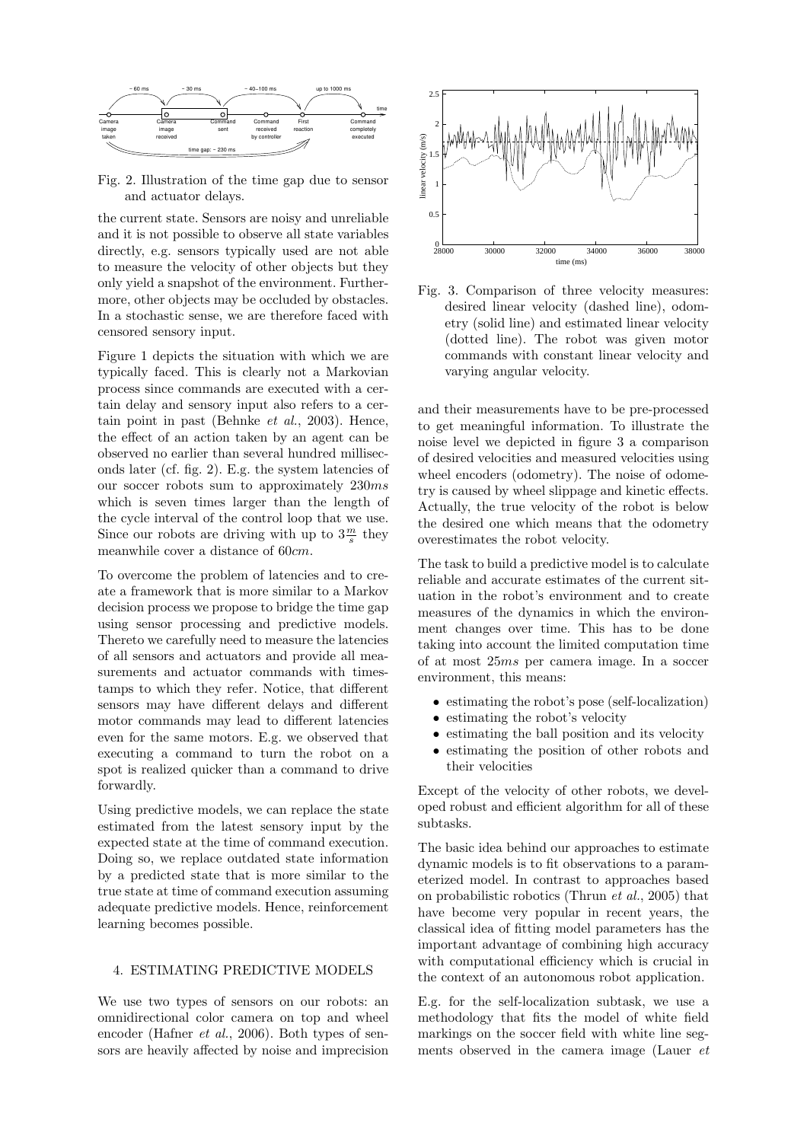

Fig. 2. Illustration of the time gap due to sensor and actuator delays.

the current state. Sensors are noisy and unreliable and it is not possible to observe all state variables directly, e.g. sensors typically used are not able to measure the velocity of other objects but they only yield a snapshot of the environment. Furthermore, other objects may be occluded by obstacles. In a stochastic sense, we are therefore faced with censored sensory input.

Figure 1 depicts the situation with which we are typically faced. This is clearly not a Markovian process since commands are executed with a certain delay and sensory input also refers to a certain point in past (Behnke et al., 2003). Hence, the effect of an action taken by an agent can be observed no earlier than several hundred milliseconds later (cf. fig. 2). E.g. the system latencies of our soccer robots sum to approximately 230ms which is seven times larger than the length of the cycle interval of the control loop that we use. Since our robots are driving with up to  $3\frac{m}{s}$  they meanwhile cover a distance of 60cm.

To overcome the problem of latencies and to create a framework that is more similar to a Markov decision process we propose to bridge the time gap using sensor processing and predictive models. Thereto we carefully need to measure the latencies of all sensors and actuators and provide all measurements and actuator commands with timestamps to which they refer. Notice, that different sensors may have different delays and different motor commands may lead to different latencies even for the same motors. E.g. we observed that executing a command to turn the robot on a spot is realized quicker than a command to drive forwardly.

Using predictive models, we can replace the state estimated from the latest sensory input by the expected state at the time of command execution. Doing so, we replace outdated state information by a predicted state that is more similar to the true state at time of command execution assuming adequate predictive models. Hence, reinforcement learning becomes possible.

### 4. ESTIMATING PREDICTIVE MODELS

We use two types of sensors on our robots: an omnidirectional color camera on top and wheel encoder (Hafner et al., 2006). Both types of sensors are heavily affected by noise and imprecision



Fig. 3. Comparison of three velocity measures: desired linear velocity (dashed line), odometry (solid line) and estimated linear velocity (dotted line). The robot was given motor commands with constant linear velocity and varying angular velocity.

and their measurements have to be pre-processed to get meaningful information. To illustrate the noise level we depicted in figure 3 a comparison of desired velocities and measured velocities using wheel encoders (odometry). The noise of odometry is caused by wheel slippage and kinetic effects. Actually, the true velocity of the robot is below the desired one which means that the odometry overestimates the robot velocity.

The task to build a predictive model is to calculate reliable and accurate estimates of the current situation in the robot's environment and to create measures of the dynamics in which the environment changes over time. This has to be done taking into account the limited computation time of at most 25ms per camera image. In a soccer environment, this means:

- estimating the robot's pose (self-localization)
- estimating the robot's velocity
- estimating the ball position and its velocity
- estimating the position of other robots and their velocities

Except of the velocity of other robots, we developed robust and efficient algorithm for all of these subtasks.

The basic idea behind our approaches to estimate dynamic models is to fit observations to a parameterized model. In contrast to approaches based on probabilistic robotics (Thrun et al., 2005) that have become very popular in recent years, the classical idea of fitting model parameters has the important advantage of combining high accuracy with computational efficiency which is crucial in the context of an autonomous robot application.

E.g. for the self-localization subtask, we use a methodology that fits the model of white field markings on the soccer field with white line segments observed in the camera image (Lauer et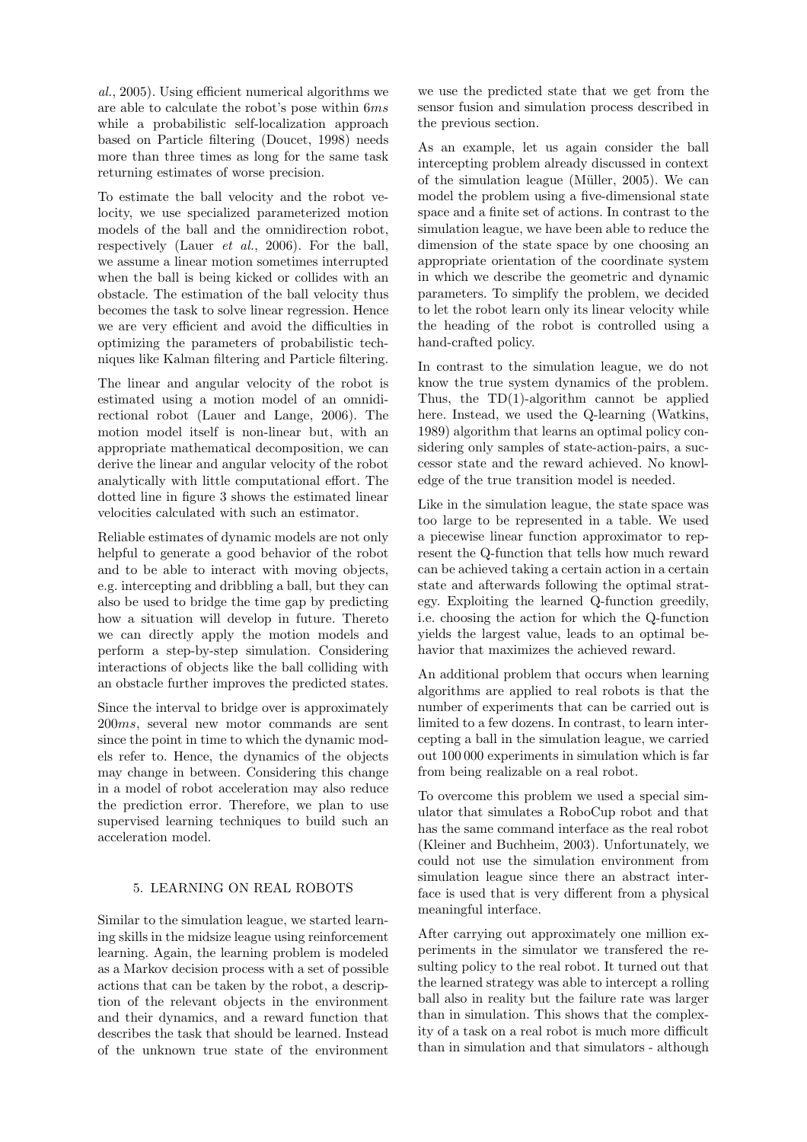al., 2005). Using efficient numerical algorithms we are able to calculate the robot's pose within 6ms while a probabilistic self-localization approach based on Particle filtering (Doucet, 1998) needs more than three times as long for the same task returning estimates of worse precision.

To estimate the ball velocity and the robot velocity, we use specialized parameterized motion models of the ball and the omnidirection robot, respectively (Lauer et al., 2006). For the ball, we assume a linear motion sometimes interrupted when the ball is being kicked or collides with an obstacle. The estimation of the ball velocity thus becomes the task to solve linear regression. Hence we are very efficient and avoid the difficulties in optimizing the parameters of probabilistic techniques like Kalman filtering and Particle filtering.

The linear and angular velocity of the robot is estimated using a motion model of an omnidirectional robot (Lauer and Lange, 2006). The motion model itself is non-linear but, with an appropriate mathematical decomposition, we can derive the linear and angular velocity of the robot analytically with little computational effort. The dotted line in figure 3 shows the estimated linear velocities calculated with such an estimator.

Reliable estimates of dynamic models are not only helpful to generate a good behavior of the robot and to be able to interact with moving objects, e.g. intercepting and dribbling a ball, but they can also be used to bridge the time gap by predicting how a situation will develop in future. Thereto we can directly apply the motion models and perform a step-by-step simulation. Considering interactions of objects like the ball colliding with an obstacle further improves the predicted states.

Since the interval to bridge over is approximately 200ms, several new motor commands are sent since the point in time to which the dynamic models refer to. Hence, the dynamics of the objects may change in between. Considering this change in a model of robot acceleration may also reduce the prediction error. Therefore, we plan to use supervised learning techniques to build such an acceleration model.

## 5. LEARNING ON REAL ROBOTS

Similar to the simulation league, we started learning skills in the midsize league using reinforcement learning. Again, the learning problem is modeled as a Markov decision process with a set of possible actions that can be taken by the robot, a description of the relevant objects in the environment and their dynamics, and a reward function that describes the task that should be learned. Instead of the unknown true state of the environment

we use the predicted state that we get from the sensor fusion and simulation process described in the previous section.

As an example, let us again consider the ball intercepting problem already discussed in context of the simulation league (Müller,  $2005$ ). We can model the problem using a five-dimensional state space and a finite set of actions. In contrast to the simulation league, we have been able to reduce the dimension of the state space by one choosing an appropriate orientation of the coordinate system in which we describe the geometric and dynamic parameters. To simplify the problem, we decided to let the robot learn only its linear velocity while the heading of the robot is controlled using a hand-crafted policy.

In contrast to the simulation league, we do not know the true system dynamics of the problem. Thus, the TD(1)-algorithm cannot be applied here. Instead, we used the Q-learning (Watkins, 1989) algorithm that learns an optimal policy considering only samples of state-action-pairs, a successor state and the reward achieved. No knowledge of the true transition model is needed.

Like in the simulation league, the state space was too large to be represented in a table. We used a piecewise linear function approximator to represent the Q-function that tells how much reward can be achieved taking a certain action in a certain state and afterwards following the optimal strategy. Exploiting the learned Q-function greedily, i.e. choosing the action for which the Q-function yields the largest value, leads to an optimal behavior that maximizes the achieved reward.

An additional problem that occurs when learning algorithms are applied to real robots is that the number of experiments that can be carried out is limited to a few dozens. In contrast, to learn intercepting a ball in the simulation league, we carried out 100 000 experiments in simulation which is far from being realizable on a real robot.

To overcome this problem we used a special simulator that simulates a RoboCup robot and that has the same command interface as the real robot (Kleiner and Buchheim, 2003). Unfortunately, we could not use the simulation environment from simulation league since there an abstract interface is used that is very different from a physical meaningful interface.

After carrying out approximately one million experiments in the simulator we transfered the resulting policy to the real robot. It turned out that the learned strategy was able to intercept a rolling ball also in reality but the failure rate was larger than in simulation. This shows that the complexity of a task on a real robot is much more difficult than in simulation and that simulators - although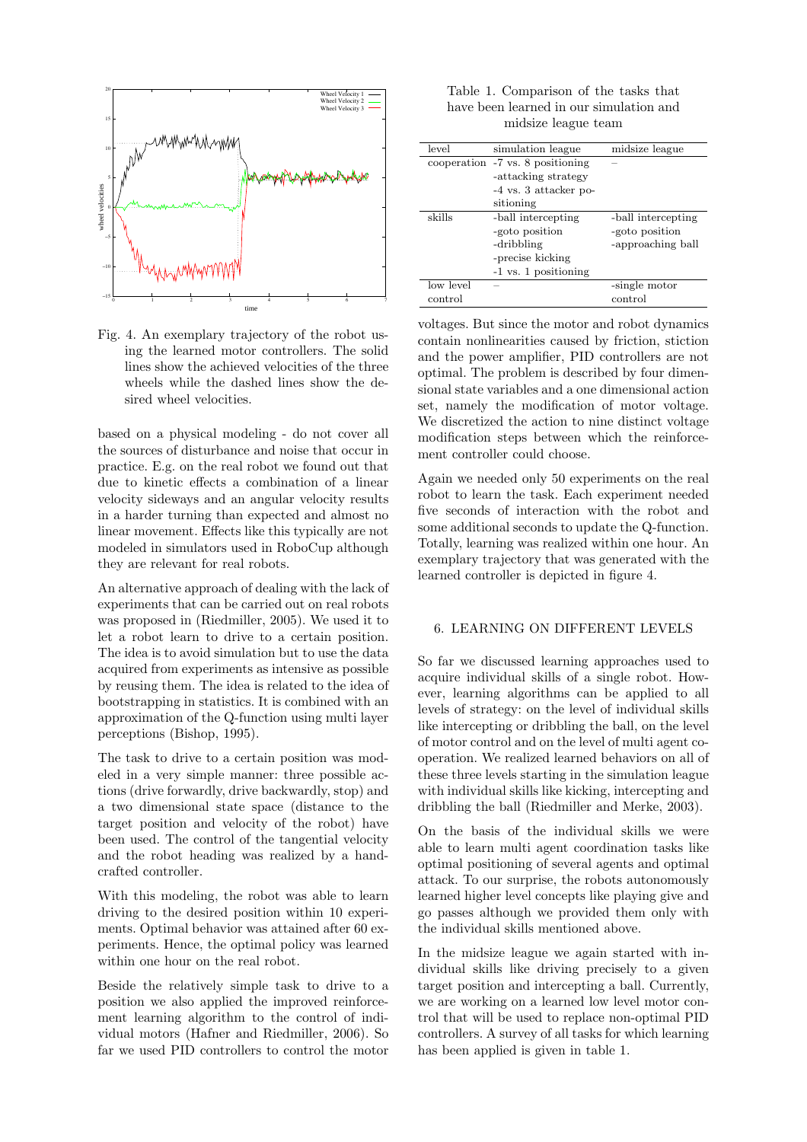

Fig. 4. An exemplary trajectory of the robot using the learned motor controllers. The solid lines show the achieved velocities of the three wheels while the dashed lines show the desired wheel velocities.

based on a physical modeling - do not cover all the sources of disturbance and noise that occur in practice. E.g. on the real robot we found out that due to kinetic effects a combination of a linear velocity sideways and an angular velocity results in a harder turning than expected and almost no linear movement. Effects like this typically are not modeled in simulators used in RoboCup although they are relevant for real robots.

An alternative approach of dealing with the lack of experiments that can be carried out on real robots was proposed in (Riedmiller, 2005). We used it to let a robot learn to drive to a certain position. The idea is to avoid simulation but to use the data acquired from experiments as intensive as possible by reusing them. The idea is related to the idea of bootstrapping in statistics. It is combined with an approximation of the Q-function using multi layer perceptions (Bishop, 1995).

The task to drive to a certain position was modeled in a very simple manner: three possible actions (drive forwardly, drive backwardly, stop) and a two dimensional state space (distance to the target position and velocity of the robot) have been used. The control of the tangential velocity and the robot heading was realized by a handcrafted controller.

With this modeling, the robot was able to learn driving to the desired position within 10 experiments. Optimal behavior was attained after 60 experiments. Hence, the optimal policy was learned within one hour on the real robot.

Beside the relatively simple task to drive to a position we also applied the improved reinforcement learning algorithm to the control of individual motors (Hafner and Riedmiller, 2006). So far we used PID controllers to control the motor

Table 1. Comparison of the tasks that have been learned in our simulation and midsize league team

| level     | simulation league                | midsize league     |
|-----------|----------------------------------|--------------------|
|           | cooperation -7 vs. 8 positioning |                    |
|           | -attacking strategy              |                    |
|           | -4 vs. 3 attacker po-            |                    |
|           | sitioning                        |                    |
| skills    | -ball intercepting               | -ball intercepting |
|           | -goto position                   | -goto position     |
|           | -dribbling                       | -approaching ball  |
|           | -precise kicking                 |                    |
|           | -1 vs. 1 positioning             |                    |
| low level |                                  | -single motor      |
| control   |                                  | control            |

voltages. But since the motor and robot dynamics contain nonlinearities caused by friction, stiction and the power amplifier, PID controllers are not optimal. The problem is described by four dimensional state variables and a one dimensional action set, namely the modification of motor voltage. We discretized the action to nine distinct voltage modification steps between which the reinforcement controller could choose.

Again we needed only 50 experiments on the real robot to learn the task. Each experiment needed five seconds of interaction with the robot and some additional seconds to update the Q-function. Totally, learning was realized within one hour. An exemplary trajectory that was generated with the learned controller is depicted in figure 4.

### 6. LEARNING ON DIFFERENT LEVELS

So far we discussed learning approaches used to acquire individual skills of a single robot. However, learning algorithms can be applied to all levels of strategy: on the level of individual skills like intercepting or dribbling the ball, on the level of motor control and on the level of multi agent cooperation. We realized learned behaviors on all of these three levels starting in the simulation league with individual skills like kicking, intercepting and dribbling the ball (Riedmiller and Merke, 2003).

On the basis of the individual skills we were able to learn multi agent coordination tasks like optimal positioning of several agents and optimal attack. To our surprise, the robots autonomously learned higher level concepts like playing give and go passes although we provided them only with the individual skills mentioned above.

In the midsize league we again started with individual skills like driving precisely to a given target position and intercepting a ball. Currently, we are working on a learned low level motor control that will be used to replace non-optimal PID controllers. A survey of all tasks for which learning has been applied is given in table 1.